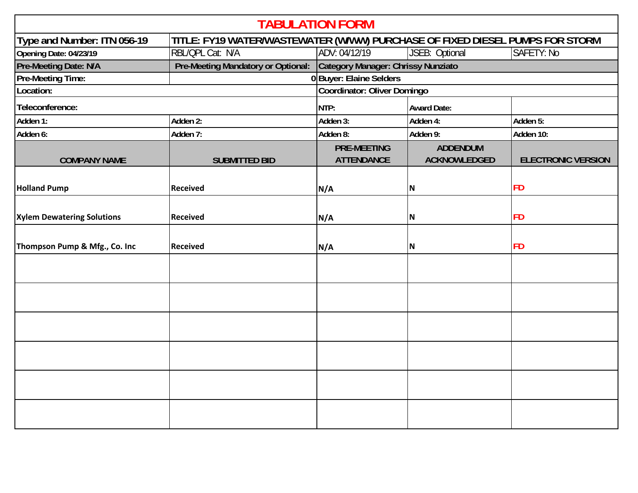| <b>TABULATION FORM</b>            |                                                                              |                                         |                                        |                           |  |  |  |
|-----------------------------------|------------------------------------------------------------------------------|-----------------------------------------|----------------------------------------|---------------------------|--|--|--|
| Type and Number: ITN 056-19       | TITLE: FY19 WATER/WASTEWATER (W/WW) PURCHASE OF FIXED DIESEL PUMPS FOR STORM |                                         |                                        |                           |  |  |  |
| Opening Date: 04/23/19            | RBL/QPL Cat: N/A                                                             | ADV: 04/12/19                           | JSEB: Optional                         | SAFETY: No                |  |  |  |
| Pre-Meeting Date: N/A             | Pre-Meeting Mandatory or Optional:                                           | Category Manager: Chrissy Nunziato      |                                        |                           |  |  |  |
| <b>Pre-Meeting Time:</b>          |                                                                              |                                         | 0 Buyer: Elaine Selders                |                           |  |  |  |
| Location:                         |                                                                              | Coordinator: Oliver Domingo             |                                        |                           |  |  |  |
| Teleconference:                   |                                                                              | NTP:                                    | <b>Award Date:</b>                     |                           |  |  |  |
| Adden 1:                          | Adden 2:                                                                     | Adden 3:                                | Adden 4:                               | Adden 5:                  |  |  |  |
| Adden 6:                          | Adden 7:                                                                     | Adden 8:                                | Adden 9:                               | Adden 10:                 |  |  |  |
| <b>COMPANY NAME</b>               | <b>SUBMITTED BID</b>                                                         | <b>PRE-MEETING</b><br><b>ATTENDANCE</b> | <b>ADDENDUM</b><br><b>ACKNOWLEDGED</b> | <b>ELECTRONIC VERSION</b> |  |  |  |
| <b>Holland Pump</b>               | <b>Received</b>                                                              | N/A                                     | N                                      | <b>FD</b>                 |  |  |  |
| <b>Xylem Dewatering Solutions</b> | <b>Received</b>                                                              | N/A                                     | N                                      | <b>FD</b>                 |  |  |  |
| Thompson Pump & Mfg., Co. Inc     | <b>Received</b>                                                              | N/A                                     | N                                      | <b>FD</b>                 |  |  |  |
|                                   |                                                                              |                                         |                                        |                           |  |  |  |
|                                   |                                                                              |                                         |                                        |                           |  |  |  |
|                                   |                                                                              |                                         |                                        |                           |  |  |  |
|                                   |                                                                              |                                         |                                        |                           |  |  |  |
|                                   |                                                                              |                                         |                                        |                           |  |  |  |
|                                   |                                                                              |                                         |                                        |                           |  |  |  |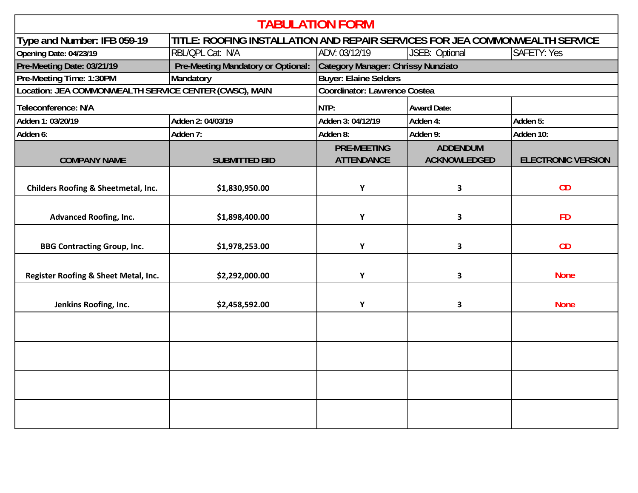| <b>TABULATION FORM</b>                                                                                      |                                    |                                    |                     |                           |  |  |  |
|-------------------------------------------------------------------------------------------------------------|------------------------------------|------------------------------------|---------------------|---------------------------|--|--|--|
| TITLE: ROOFING INSTALLATION AND REPAIR SERVICES FOR JEA COMMONWEALTH SERVICE<br>Type and Number: IFB 059-19 |                                    |                                    |                     |                           |  |  |  |
| Opening Date: 04/23/19                                                                                      | RBL/QPL Cat: N/A                   | ADV: 03/12/19                      | JSEB: Optional      | <b>SAFETY: Yes</b>        |  |  |  |
| Pre-Meeting Date: 03/21/19                                                                                  | Pre-Meeting Mandatory or Optional: | Category Manager: Chrissy Nunziato |                     |                           |  |  |  |
| Pre-Meeting Time: 1:30PM                                                                                    | Mandatory                          | <b>Buyer: Elaine Selders</b>       |                     |                           |  |  |  |
| Location: JEA COMMONWEALTH SERVICE CENTER (CWSC), MAIN                                                      |                                    | Coordinator: Lawrence Costea       |                     |                           |  |  |  |
| Teleconference: N/A                                                                                         |                                    | NTP:                               | <b>Award Date:</b>  |                           |  |  |  |
| Adden 1: 03/20/19                                                                                           | Adden 2: 04/03/19                  | Adden 3: 04/12/19                  | Adden 4:            | Adden 5:                  |  |  |  |
| Adden 6:                                                                                                    | Adden 7:                           | Adden 8:                           | Adden 9:            | Adden 10:                 |  |  |  |
|                                                                                                             |                                    | <b>PRE-MEETING</b>                 | <b>ADDENDUM</b>     |                           |  |  |  |
| <b>COMPANY NAME</b>                                                                                         | <b>SUBMITTED BID</b>               | <b>ATTENDANCE</b>                  | <b>ACKNOWLEDGED</b> | <b>ELECTRONIC VERSION</b> |  |  |  |
| Childers Roofing & Sheetmetal, Inc.                                                                         | \$1,830,950.00                     | Y                                  | 3                   | CD                        |  |  |  |
| <b>Advanced Roofing, Inc.</b>                                                                               | \$1,898,400.00                     | Y                                  | 3                   | <b>FD</b>                 |  |  |  |
| <b>BBG Contracting Group, Inc.</b>                                                                          | \$1,978,253.00                     | Y                                  | 3                   | CD                        |  |  |  |
| Register Roofing & Sheet Metal, Inc.                                                                        | \$2,292,000.00                     | Y                                  | 3                   | <b>None</b>               |  |  |  |
| Jenkins Roofing, Inc.                                                                                       | \$2,458,592.00                     | Y                                  | 3                   | <b>None</b>               |  |  |  |
|                                                                                                             |                                    |                                    |                     |                           |  |  |  |
|                                                                                                             |                                    |                                    |                     |                           |  |  |  |
|                                                                                                             |                                    |                                    |                     |                           |  |  |  |
|                                                                                                             |                                    |                                    |                     |                           |  |  |  |